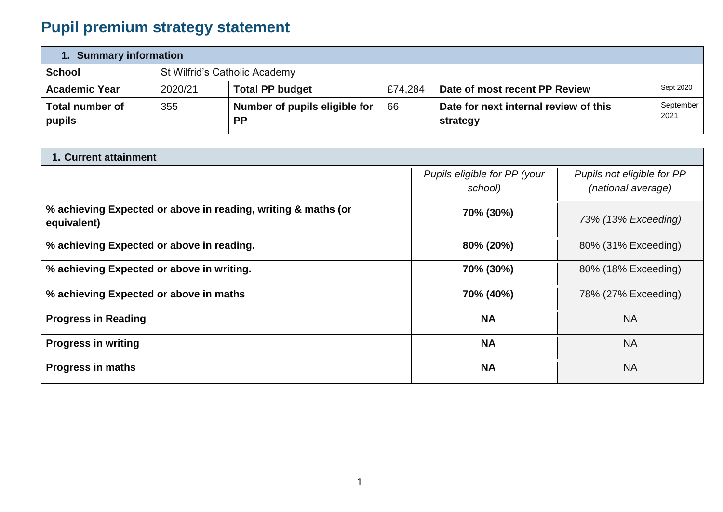# **Pupil premium strategy statement**

| 1. Summary information           |                               |                                            |         |                                                   |                   |  |  |  |
|----------------------------------|-------------------------------|--------------------------------------------|---------|---------------------------------------------------|-------------------|--|--|--|
| <b>School</b>                    | St Wilfrid's Catholic Academy |                                            |         |                                                   |                   |  |  |  |
| <b>Academic Year</b>             | 2020/21                       | <b>Total PP budget</b>                     | £74.284 | Date of most recent PP Review                     | Sept 2020         |  |  |  |
| <b>Total number of</b><br>pupils | 355                           | Number of pupils eligible for<br><b>PP</b> | 66      | Date for next internal review of this<br>strategy | September<br>2021 |  |  |  |

| 1. Current attainment                                                        |                                         |                                                  |  |  |  |
|------------------------------------------------------------------------------|-----------------------------------------|--------------------------------------------------|--|--|--|
|                                                                              | Pupils eligible for PP (your<br>school) | Pupils not eligible for PP<br>(national average) |  |  |  |
| % achieving Expected or above in reading, writing & maths (or<br>equivalent) | 70% (30%)                               | 73% (13% Exceeding)                              |  |  |  |
| % achieving Expected or above in reading.                                    | 80% (20%)                               | 80% (31% Exceeding)                              |  |  |  |
| % achieving Expected or above in writing.                                    | 70% (30%)                               | 80% (18% Exceeding)                              |  |  |  |
| % achieving Expected or above in maths                                       | 70% (40%)                               | 78% (27% Exceeding)                              |  |  |  |
| <b>Progress in Reading</b>                                                   | <b>NA</b>                               | <b>NA</b>                                        |  |  |  |
| <b>Progress in writing</b>                                                   | <b>NA</b>                               | <b>NA</b>                                        |  |  |  |
| <b>Progress in maths</b>                                                     | <b>NA</b>                               | <b>NA</b>                                        |  |  |  |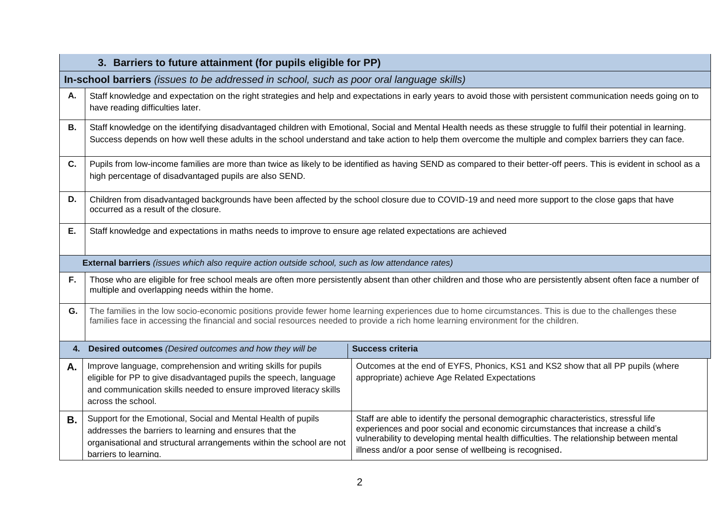|    | 3. Barriers to future attainment (for pupils eligible for PP)                                                                                                                                                                                                                                                                                                       |                                                                                                                                                                                                                                                                                                                             |  |  |  |
|----|---------------------------------------------------------------------------------------------------------------------------------------------------------------------------------------------------------------------------------------------------------------------------------------------------------------------------------------------------------------------|-----------------------------------------------------------------------------------------------------------------------------------------------------------------------------------------------------------------------------------------------------------------------------------------------------------------------------|--|--|--|
|    | In-school barriers (issues to be addressed in school, such as poor oral language skills)                                                                                                                                                                                                                                                                            |                                                                                                                                                                                                                                                                                                                             |  |  |  |
| Α. | Staff knowledge and expectation on the right strategies and help and expectations in early years to avoid those with persistent communication needs going on to<br>have reading difficulties later.                                                                                                                                                                 |                                                                                                                                                                                                                                                                                                                             |  |  |  |
| В. | Staff knowledge on the identifying disadvantaged children with Emotional, Social and Mental Health needs as these struggle to fulfil their potential in learning.<br>Success depends on how well these adults in the school understand and take action to help them overcome the multiple and complex barriers they can face.                                       |                                                                                                                                                                                                                                                                                                                             |  |  |  |
| C. | Pupils from low-income families are more than twice as likely to be identified as having SEND as compared to their better-off peers. This is evident in school as a<br>high percentage of disadvantaged pupils are also SEND.                                                                                                                                       |                                                                                                                                                                                                                                                                                                                             |  |  |  |
| D. | Children from disadvantaged backgrounds have been affected by the school closure due to COVID-19 and need more support to the close gaps that have<br>occurred as a result of the closure.                                                                                                                                                                          |                                                                                                                                                                                                                                                                                                                             |  |  |  |
| Е. | Staff knowledge and expectations in maths needs to improve to ensure age related expectations are achieved                                                                                                                                                                                                                                                          |                                                                                                                                                                                                                                                                                                                             |  |  |  |
|    | <b>External barriers</b> (issues which also require action outside school, such as low attendance rates)                                                                                                                                                                                                                                                            |                                                                                                                                                                                                                                                                                                                             |  |  |  |
| F. | multiple and overlapping needs within the home.                                                                                                                                                                                                                                                                                                                     | Those who are eligible for free school meals are often more persistently absent than other children and those who are persistently absent often face a number of                                                                                                                                                            |  |  |  |
| G. | families face in accessing the financial and social resources needed to provide a rich home learning environment for the children.                                                                                                                                                                                                                                  | The families in the low socio-economic positions provide fewer home learning experiences due to home circumstances. This is due to the challenges these                                                                                                                                                                     |  |  |  |
| 4. | Desired outcomes (Desired outcomes and how they will be                                                                                                                                                                                                                                                                                                             | <b>Success criteria</b>                                                                                                                                                                                                                                                                                                     |  |  |  |
| Α. | Improve language, comprehension and writing skills for pupils<br>Outcomes at the end of EYFS, Phonics, KS1 and KS2 show that all PP pupils (where<br>eligible for PP to give disadvantaged pupils the speech, language<br>appropriate) achieve Age Related Expectations<br>and communication skills needed to ensure improved literacy skills<br>across the school. |                                                                                                                                                                                                                                                                                                                             |  |  |  |
| В. | Support for the Emotional, Social and Mental Health of pupils<br>addresses the barriers to learning and ensures that the<br>organisational and structural arrangements within the school are not<br>barriers to learning.                                                                                                                                           | Staff are able to identify the personal demographic characteristics, stressful life<br>experiences and poor social and economic circumstances that increase a child's<br>vulnerability to developing mental health difficulties. The relationship between mental<br>illness and/or a poor sense of wellbeing is recognised. |  |  |  |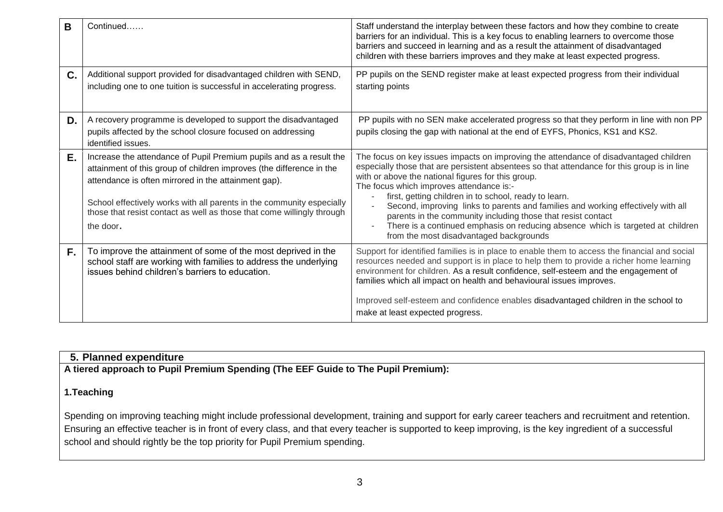| B  | Continued                                                                                                                                                                                                                                                                                                                                                           | Staff understand the interplay between these factors and how they combine to create<br>barriers for an individual. This is a key focus to enabling learners to overcome those<br>barriers and succeed in learning and as a result the attainment of disadvantaged<br>children with these barriers improves and they make at least expected progress.                                                                                                                                                                                                                                                                              |
|----|---------------------------------------------------------------------------------------------------------------------------------------------------------------------------------------------------------------------------------------------------------------------------------------------------------------------------------------------------------------------|-----------------------------------------------------------------------------------------------------------------------------------------------------------------------------------------------------------------------------------------------------------------------------------------------------------------------------------------------------------------------------------------------------------------------------------------------------------------------------------------------------------------------------------------------------------------------------------------------------------------------------------|
| C. | Additional support provided for disadvantaged children with SEND,<br>including one to one tuition is successful in accelerating progress.                                                                                                                                                                                                                           | PP pupils on the SEND register make at least expected progress from their individual<br>starting points                                                                                                                                                                                                                                                                                                                                                                                                                                                                                                                           |
| D. | A recovery programme is developed to support the disadvantaged<br>pupils affected by the school closure focused on addressing<br>identified issues.                                                                                                                                                                                                                 | PP pupils with no SEN make accelerated progress so that they perform in line with non PP<br>pupils closing the gap with national at the end of EYFS, Phonics, KS1 and KS2.                                                                                                                                                                                                                                                                                                                                                                                                                                                        |
| Ε. | Increase the attendance of Pupil Premium pupils and as a result the<br>attainment of this group of children improves (the difference in the<br>attendance is often mirrored in the attainment gap).<br>School effectively works with all parents in the community especially<br>those that resist contact as well as those that come willingly through<br>the door. | The focus on key issues impacts on improving the attendance of disadvantaged children<br>especially those that are persistent absentees so that attendance for this group is in line<br>with or above the national figures for this group.<br>The focus which improves attendance is:-<br>first, getting children in to school, ready to learn.<br>Second, improving links to parents and families and working effectively with all<br>parents in the community including those that resist contact<br>There is a continued emphasis on reducing absence which is targeted at children<br>from the most disadvantaged backgrounds |
| F. | To improve the attainment of some of the most deprived in the<br>school staff are working with families to address the underlying<br>issues behind children's barriers to education.                                                                                                                                                                                | Support for identified families is in place to enable them to access the financial and social<br>resources needed and support is in place to help them to provide a richer home learning<br>environment for children. As a result confidence, self-esteem and the engagement of<br>families which all impact on health and behavioural issues improves.<br>Improved self-esteem and confidence enables disadvantaged children in the school to<br>make at least expected progress.                                                                                                                                                |

### **5. Planned expenditure**

**A tiered approach to Pupil Premium Spending (The EEF Guide to The Pupil Premium):**

#### **1.Teaching**

Spending on improving teaching might include professional development, training and support for early career teachers and recruitment and retention. Ensuring an effective teacher is in front of every class, and that every teacher is supported to keep improving, is the key ingredient of a successful school and should rightly be the top priority for Pupil Premium spending.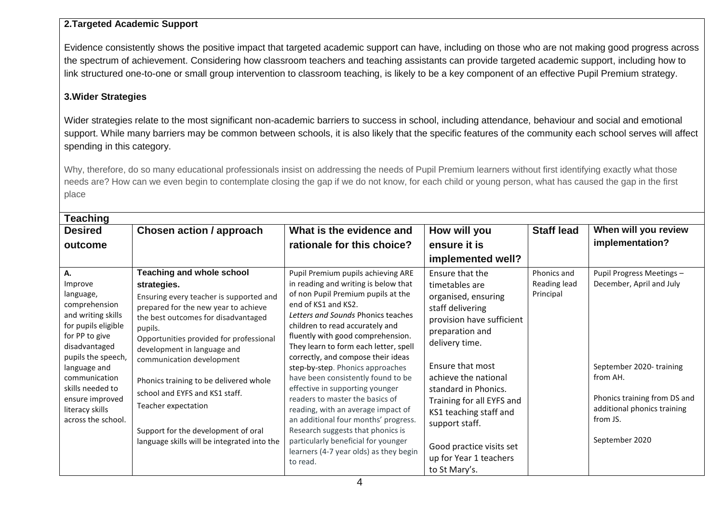#### **2.Targeted Academic Support**

Evidence consistently shows the positive impact that targeted academic support can have, including on those who are not making good progress across the spectrum of achievement. Considering how classroom teachers and teaching assistants can provide targeted academic support, including how to link structured one-to-one or small group intervention to classroom teaching, is likely to be a key component of an effective Pupil Premium strategy.

#### **3.Wider Strategies**

Wider strategies relate to the most significant non-academic barriers to success in school, including attendance, behaviour and social and emotional support. While many barriers may be common between schools, it is also likely that the specific features of the community each school serves will affect spending in this category.

Why, therefore, do so many educational professionals insist on addressing the needs of Pupil Premium learners without first identifying exactly what those needs are? How can we even begin to contemplate closing the gap if we do not know, for each child or young person, what has caused the gap in the first place

| <b>Teaching</b>                                                                                                                                                   |                                                                                                                                                                                                                                                                                             |                                                                                                                                                                                                                                                                                                                                                                          |                                                                                                                                                                                              |                                          |                                                                                                       |  |  |  |
|-------------------------------------------------------------------------------------------------------------------------------------------------------------------|---------------------------------------------------------------------------------------------------------------------------------------------------------------------------------------------------------------------------------------------------------------------------------------------|--------------------------------------------------------------------------------------------------------------------------------------------------------------------------------------------------------------------------------------------------------------------------------------------------------------------------------------------------------------------------|----------------------------------------------------------------------------------------------------------------------------------------------------------------------------------------------|------------------------------------------|-------------------------------------------------------------------------------------------------------|--|--|--|
| <b>Desired</b>                                                                                                                                                    | <b>Chosen action / approach</b>                                                                                                                                                                                                                                                             | What is the evidence and                                                                                                                                                                                                                                                                                                                                                 | How will you                                                                                                                                                                                 | <b>Staff lead</b>                        | When will you review                                                                                  |  |  |  |
| outcome                                                                                                                                                           |                                                                                                                                                                                                                                                                                             | rationale for this choice?                                                                                                                                                                                                                                                                                                                                               | ensure it is                                                                                                                                                                                 |                                          | implementation?                                                                                       |  |  |  |
|                                                                                                                                                                   |                                                                                                                                                                                                                                                                                             |                                                                                                                                                                                                                                                                                                                                                                          | implemented well?                                                                                                                                                                            |                                          |                                                                                                       |  |  |  |
| А.<br>Improve<br>language,<br>comprehension<br>and writing skills<br>for pupils eligible<br>for PP to give<br>disadvantaged<br>pupils the speech,<br>language and | <b>Teaching and whole school</b><br>strategies.<br>Ensuring every teacher is supported and<br>prepared for the new year to achieve<br>the best outcomes for disadvantaged<br>pupils.<br>Opportunities provided for professional<br>development in language and<br>communication development | Pupil Premium pupils achieving ARE<br>in reading and writing is below that<br>of non Pupil Premium pupils at the<br>end of KS1 and KS2.<br>Letters and Sounds Phonics teaches<br>children to read accurately and<br>fluently with good comprehension.<br>They learn to form each letter, spell<br>correctly, and compose their ideas<br>step-by-step. Phonics approaches | Ensure that the<br>timetables are<br>organised, ensuring<br>staff delivering<br>provision have sufficient<br>preparation and<br>delivery time.<br>Ensure that most                           | Phonics and<br>Reading lead<br>Principal | Pupil Progress Meetings -<br>December, April and July<br>September 2020-training                      |  |  |  |
| communication<br>skills needed to<br>ensure improved<br>literacy skills<br>across the school.                                                                     | Phonics training to be delivered whole<br>school and EYFS and KS1 staff.<br>Teacher expectation<br>Support for the development of oral<br>language skills will be integrated into the                                                                                                       | have been consistently found to be<br>effective in supporting younger<br>readers to master the basics of<br>reading, with an average impact of<br>an additional four months' progress.<br>Research suggests that phonics is<br>particularly beneficial for younger<br>learners (4-7 year olds) as they begin<br>to read.                                                 | achieve the national<br>standard in Phonics.<br>Training for all EYFS and<br>KS1 teaching staff and<br>support staff.<br>Good practice visits set<br>up for Year 1 teachers<br>to St Mary's. |                                          | from AH.<br>Phonics training from DS and<br>additional phonics training<br>from JS.<br>September 2020 |  |  |  |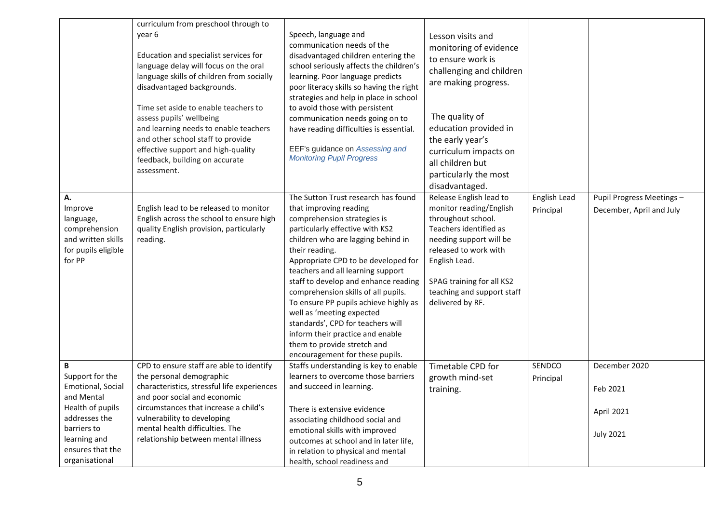|                                                                                                    | curriculum from preschool through to                                                                                                                                                                                                                                                                                                                                                                         |                                                                                                                                                                                                                                                                                                                                                                                                                                                                                                                                                                     |                                                                                                                                                                                                                                                                             |                           |                                                       |
|----------------------------------------------------------------------------------------------------|--------------------------------------------------------------------------------------------------------------------------------------------------------------------------------------------------------------------------------------------------------------------------------------------------------------------------------------------------------------------------------------------------------------|---------------------------------------------------------------------------------------------------------------------------------------------------------------------------------------------------------------------------------------------------------------------------------------------------------------------------------------------------------------------------------------------------------------------------------------------------------------------------------------------------------------------------------------------------------------------|-----------------------------------------------------------------------------------------------------------------------------------------------------------------------------------------------------------------------------------------------------------------------------|---------------------------|-------------------------------------------------------|
|                                                                                                    | year 6<br>Education and specialist services for<br>language delay will focus on the oral<br>language skills of children from socially<br>disadvantaged backgrounds.<br>Time set aside to enable teachers to<br>assess pupils' wellbeing<br>and learning needs to enable teachers<br>and other school staff to provide<br>effective support and high-quality<br>feedback, building on accurate<br>assessment. | Speech, language and<br>communication needs of the<br>disadvantaged children entering the<br>school seriously affects the children's<br>learning. Poor language predicts<br>poor literacy skills so having the right<br>strategies and help in place in school<br>to avoid those with persistent<br>communication needs going on to<br>have reading difficulties is essential.<br>EEF's guidance on Assessing and<br><b>Monitoring Pupil Progress</b>                                                                                                               | Lesson visits and<br>monitoring of evidence<br>to ensure work is<br>challenging and children<br>are making progress.<br>The quality of<br>education provided in<br>the early year's<br>curriculum impacts on<br>all children but<br>particularly the most<br>disadvantaged. |                           |                                                       |
| А.<br>Improve<br>language,<br>comprehension<br>and written skills<br>for pupils eligible<br>for PP | English lead to be released to monitor<br>English across the school to ensure high<br>quality English provision, particularly<br>reading.                                                                                                                                                                                                                                                                    | The Sutton Trust research has found<br>that improving reading<br>comprehension strategies is<br>particularly effective with KS2<br>children who are lagging behind in<br>their reading.<br>Appropriate CPD to be developed for<br>teachers and all learning support<br>staff to develop and enhance reading<br>comprehension skills of all pupils.<br>To ensure PP pupils achieve highly as<br>well as 'meeting expected<br>standards', CPD for teachers will<br>inform their practice and enable<br>them to provide stretch and<br>encouragement for these pupils. | Release English lead to<br>monitor reading/English<br>throughout school.<br>Teachers identified as<br>needing support will be<br>released to work with<br>English Lead.<br>SPAG training for all KS2<br>teaching and support staff<br>delivered by RF.                      | English Lead<br>Principal | Pupil Progress Meetings -<br>December, April and July |
| B<br>Support for the<br>Emotional, Social<br>and Mental                                            | CPD to ensure staff are able to identify<br>the personal demographic<br>characteristics, stressful life experiences<br>and poor social and economic                                                                                                                                                                                                                                                          | Staffs understanding is key to enable<br>learners to overcome those barriers<br>and succeed in learning.                                                                                                                                                                                                                                                                                                                                                                                                                                                            | Timetable CPD for<br>growth mind-set<br>training.                                                                                                                                                                                                                           | SENDCO<br>Principal       | December 2020<br>Feb 2021                             |
| Health of pupils<br>addresses the<br>barriers to                                                   | circumstances that increase a child's<br>vulnerability to developing<br>mental health difficulties. The                                                                                                                                                                                                                                                                                                      | There is extensive evidence<br>associating childhood social and<br>emotional skills with improved                                                                                                                                                                                                                                                                                                                                                                                                                                                                   |                                                                                                                                                                                                                                                                             |                           | April 2021                                            |
| learning and<br>ensures that the<br>organisational                                                 | relationship between mental illness                                                                                                                                                                                                                                                                                                                                                                          | outcomes at school and in later life,<br>in relation to physical and mental<br>health, school readiness and                                                                                                                                                                                                                                                                                                                                                                                                                                                         |                                                                                                                                                                                                                                                                             |                           | <b>July 2021</b>                                      |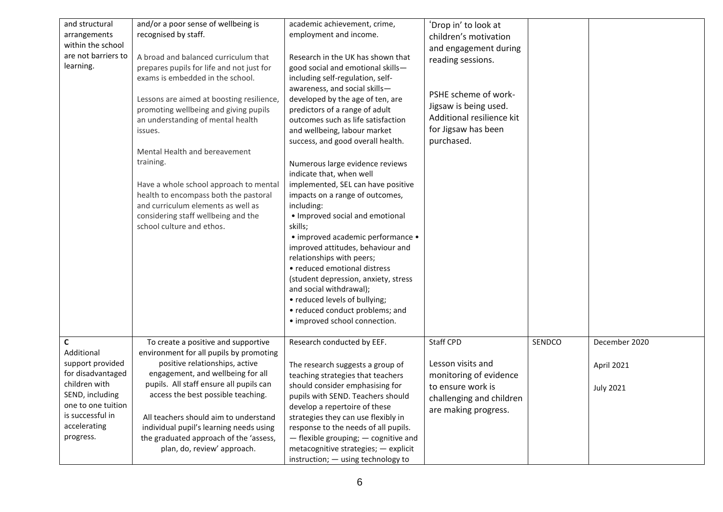| and structural      | and/or a poor sense of wellbeing is       | academic achievement, crime,         | 'Drop in' to look at      |        |                  |
|---------------------|-------------------------------------------|--------------------------------------|---------------------------|--------|------------------|
| arrangements        | recognised by staff.                      | employment and income.               | children's motivation     |        |                  |
| within the school   |                                           |                                      | and engagement during     |        |                  |
| are not barriers to | A broad and balanced curriculum that      | Research in the UK has shown that    | reading sessions.         |        |                  |
| learning.           | prepares pupils for life and not just for | good social and emotional skills-    |                           |        |                  |
|                     | exams is embedded in the school.          | including self-regulation, self-     |                           |        |                  |
|                     |                                           | awareness, and social skills-        |                           |        |                  |
|                     | Lessons are aimed at boosting resilience, | developed by the age of ten, are     | PSHE scheme of work-      |        |                  |
|                     | promoting wellbeing and giving pupils     | predictors of a range of adult       | Jigsaw is being used.     |        |                  |
|                     | an understanding of mental health         | outcomes such as life satisfaction   | Additional resilience kit |        |                  |
|                     | issues.                                   | and wellbeing, labour market         | for Jigsaw has been       |        |                  |
|                     |                                           | success, and good overall health.    | purchased.                |        |                  |
|                     | Mental Health and bereavement             |                                      |                           |        |                  |
|                     | training.                                 | Numerous large evidence reviews      |                           |        |                  |
|                     |                                           | indicate that, when well             |                           |        |                  |
|                     | Have a whole school approach to mental    | implemented, SEL can have positive   |                           |        |                  |
|                     | health to encompass both the pastoral     | impacts on a range of outcomes,      |                           |        |                  |
|                     | and curriculum elements as well as        | including:                           |                           |        |                  |
|                     | considering staff wellbeing and the       | • Improved social and emotional      |                           |        |                  |
|                     | school culture and ethos.                 |                                      |                           |        |                  |
|                     |                                           | skills;                              |                           |        |                  |
|                     |                                           | • improved academic performance •    |                           |        |                  |
|                     |                                           | improved attitudes, behaviour and    |                           |        |                  |
|                     |                                           | relationships with peers;            |                           |        |                  |
|                     |                                           | • reduced emotional distress         |                           |        |                  |
|                     |                                           | (student depression, anxiety, stress |                           |        |                  |
|                     |                                           | and social withdrawal);              |                           |        |                  |
|                     |                                           | • reduced levels of bullying;        |                           |        |                  |
|                     |                                           | • reduced conduct problems; and      |                           |        |                  |
|                     |                                           | • improved school connection.        |                           |        |                  |
|                     |                                           |                                      |                           |        |                  |
| C                   | To create a positive and supportive       | Research conducted by EEF.           | Staff CPD                 | SENDCO | December 2020    |
| Additional          | environment for all pupils by promoting   |                                      |                           |        |                  |
| support provided    | positive relationships, active            | The research suggests a group of     | Lesson visits and         |        | April 2021       |
| for disadvantaged   | engagement, and wellbeing for all         | teaching strategies that teachers    | monitoring of evidence    |        |                  |
| children with       | pupils. All staff ensure all pupils can   | should consider emphasising for      | to ensure work is         |        | <b>July 2021</b> |
| SEND, including     | access the best possible teaching.        | pupils with SEND. Teachers should    | challenging and children  |        |                  |
| one to one tuition  |                                           | develop a repertoire of these        | are making progress.      |        |                  |
| is successful in    | All teachers should aim to understand     | strategies they can use flexibly in  |                           |        |                  |
| accelerating        | individual pupil's learning needs using   | response to the needs of all pupils. |                           |        |                  |
| progress.           | the graduated approach of the 'assess,    | - flexible grouping; - cognitive and |                           |        |                  |
|                     | plan, do, review' approach.               | metacognitive strategies; - explicit |                           |        |                  |
|                     |                                           | instruction; - using technology to   |                           |        |                  |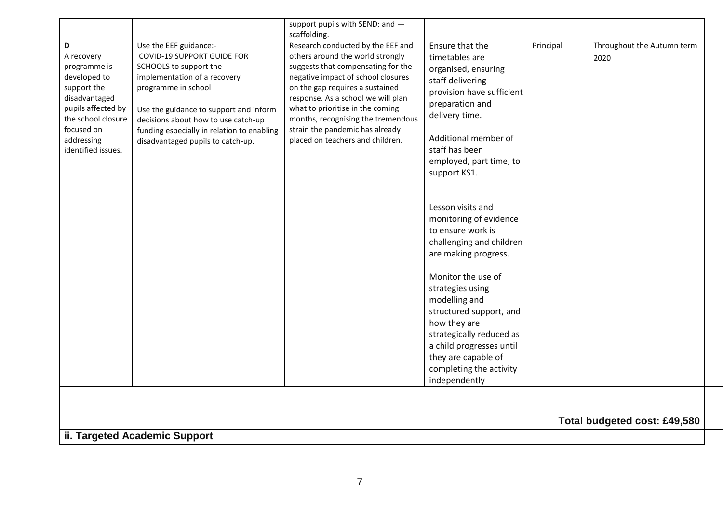|                                                                                                                                                                               |                                                                                                                                                                                                                                                                                                                  | support pupils with SEND; and -<br>scaffolding.                                                                                                                                                                                                                                                                                                                             |                                                                                                                                                                                                                                     |           |                                    |
|-------------------------------------------------------------------------------------------------------------------------------------------------------------------------------|------------------------------------------------------------------------------------------------------------------------------------------------------------------------------------------------------------------------------------------------------------------------------------------------------------------|-----------------------------------------------------------------------------------------------------------------------------------------------------------------------------------------------------------------------------------------------------------------------------------------------------------------------------------------------------------------------------|-------------------------------------------------------------------------------------------------------------------------------------------------------------------------------------------------------------------------------------|-----------|------------------------------------|
| D<br>A recovery<br>programme is<br>developed to<br>support the<br>disadvantaged<br>pupils affected by<br>the school closure<br>focused on<br>addressing<br>identified issues. | Use the EEF guidance:-<br><b>COVID-19 SUPPORT GUIDE FOR</b><br>SCHOOLS to support the<br>implementation of a recovery<br>programme in school<br>Use the guidance to support and inform<br>decisions about how to use catch-up<br>funding especially in relation to enabling<br>disadvantaged pupils to catch-up. | Research conducted by the EEF and<br>others around the world strongly<br>suggests that compensating for the<br>negative impact of school closures<br>on the gap requires a sustained<br>response. As a school we will plan<br>what to prioritise in the coming<br>months, recognising the tremendous<br>strain the pandemic has already<br>placed on teachers and children. | Ensure that the<br>timetables are<br>organised, ensuring<br>staff delivering<br>provision have sufficient<br>preparation and<br>delivery time.<br>Additional member of<br>staff has been<br>employed, part time, to<br>support KS1. | Principal | Throughout the Autumn term<br>2020 |
|                                                                                                                                                                               |                                                                                                                                                                                                                                                                                                                  |                                                                                                                                                                                                                                                                                                                                                                             | Lesson visits and<br>monitoring of evidence<br>to ensure work is<br>challenging and children<br>are making progress.                                                                                                                |           |                                    |
|                                                                                                                                                                               |                                                                                                                                                                                                                                                                                                                  |                                                                                                                                                                                                                                                                                                                                                                             | Monitor the use of<br>strategies using<br>modelling and<br>structured support, and<br>how they are<br>strategically reduced as<br>a child progresses until                                                                          |           |                                    |
|                                                                                                                                                                               |                                                                                                                                                                                                                                                                                                                  |                                                                                                                                                                                                                                                                                                                                                                             | they are capable of<br>completing the activity<br>independently                                                                                                                                                                     |           |                                    |
|                                                                                                                                                                               |                                                                                                                                                                                                                                                                                                                  |                                                                                                                                                                                                                                                                                                                                                                             |                                                                                                                                                                                                                                     |           |                                    |

**Total budgeted cost: £49,580**

**ii. Targeted Academic Support**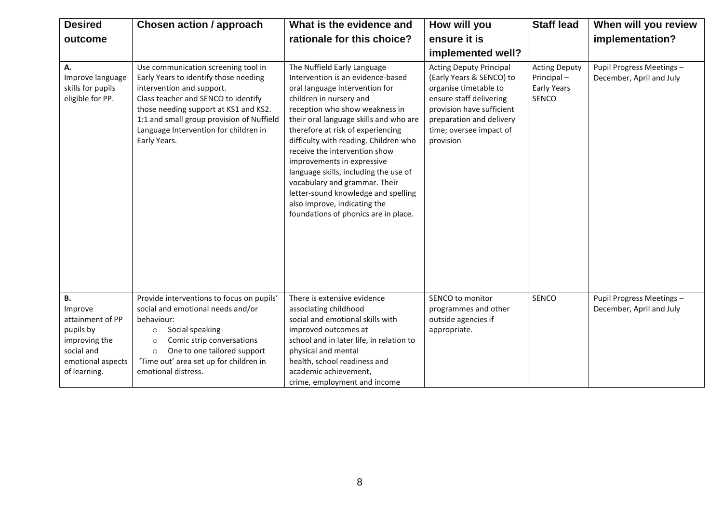| <b>Desired</b>                                                                                                     | Chosen action / approach                                                                                                                                                                                                                                                                        | What is the evidence and                                                                                                                                                                                                                                                                                                                                                                                                                                                                                                                        | How will you                                                                                                                                                                                                    | <b>Staff lead</b>                                                        | When will you review                                  |
|--------------------------------------------------------------------------------------------------------------------|-------------------------------------------------------------------------------------------------------------------------------------------------------------------------------------------------------------------------------------------------------------------------------------------------|-------------------------------------------------------------------------------------------------------------------------------------------------------------------------------------------------------------------------------------------------------------------------------------------------------------------------------------------------------------------------------------------------------------------------------------------------------------------------------------------------------------------------------------------------|-----------------------------------------------------------------------------------------------------------------------------------------------------------------------------------------------------------------|--------------------------------------------------------------------------|-------------------------------------------------------|
| outcome                                                                                                            |                                                                                                                                                                                                                                                                                                 | rationale for this choice?                                                                                                                                                                                                                                                                                                                                                                                                                                                                                                                      | ensure it is                                                                                                                                                                                                    |                                                                          | implementation?                                       |
|                                                                                                                    |                                                                                                                                                                                                                                                                                                 |                                                                                                                                                                                                                                                                                                                                                                                                                                                                                                                                                 | implemented well?                                                                                                                                                                                               |                                                                          |                                                       |
| А.<br>Improve language<br>skills for pupils<br>eligible for PP.                                                    | Use communication screening tool in<br>Early Years to identify those needing<br>intervention and support.<br>Class teacher and SENCO to identify<br>those needing support at KS1 and KS2.<br>1:1 and small group provision of Nuffield<br>Language Intervention for children in<br>Early Years. | The Nuffield Early Language<br>Intervention is an evidence-based<br>oral language intervention for<br>children in nursery and<br>reception who show weakness in<br>their oral language skills and who are<br>therefore at risk of experiencing<br>difficulty with reading. Children who<br>receive the intervention show<br>improvements in expressive<br>language skills, including the use of<br>vocabulary and grammar. Their<br>letter-sound knowledge and spelling<br>also improve, indicating the<br>foundations of phonics are in place. | <b>Acting Deputy Principal</b><br>(Early Years & SENCO) to<br>organise timetable to<br>ensure staff delivering<br>provision have sufficient<br>preparation and delivery<br>time; oversee impact of<br>provision | <b>Acting Deputy</b><br>Principal-<br><b>Early Years</b><br><b>SENCO</b> | Pupil Progress Meetings -<br>December, April and July |
| В.<br>Improve<br>attainment of PP<br>pupils by<br>improving the<br>social and<br>emotional aspects<br>of learning. | Provide interventions to focus on pupils'<br>social and emotional needs and/or<br>behaviour:<br>Social speaking<br>$\circ$<br>Comic strip conversations<br>$\circ$<br>One to one tailored support<br>$\circ$<br>'Time out' area set up for children in<br>emotional distress.                   | There is extensive evidence<br>associating childhood<br>social and emotional skills with<br>improved outcomes at<br>school and in later life, in relation to<br>physical and mental<br>health, school readiness and<br>academic achievement,<br>crime, employment and income                                                                                                                                                                                                                                                                    | SENCO to monitor<br>programmes and other<br>outside agencies if<br>appropriate.                                                                                                                                 | SENCO                                                                    | Pupil Progress Meetings -<br>December, April and July |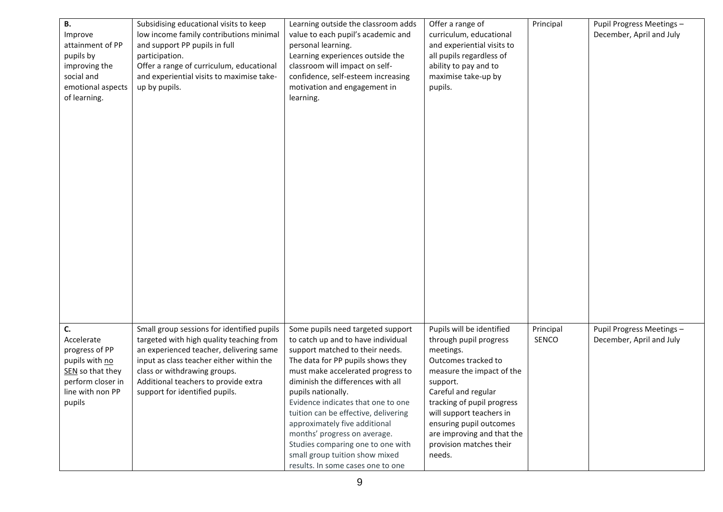| В.                | Subsidising educational visits to keep     | Learning outside the classroom adds  | Offer a range of           | Principal | Pupil Progress Meetings - |
|-------------------|--------------------------------------------|--------------------------------------|----------------------------|-----------|---------------------------|
| Improve           | low income family contributions minimal    | value to each pupil's academic and   | curriculum, educational    |           | December, April and July  |
| attainment of PP  | and support PP pupils in full              | personal learning.                   | and experiential visits to |           |                           |
| pupils by         | participation.                             | Learning experiences outside the     | all pupils regardless of   |           |                           |
| improving the     | Offer a range of curriculum, educational   | classroom will impact on self-       | ability to pay and to      |           |                           |
| social and        | and experiential visits to maximise take-  | confidence, self-esteem increasing   | maximise take-up by        |           |                           |
| emotional aspects | up by pupils.                              | motivation and engagement in         | pupils.                    |           |                           |
| of learning.      |                                            | learning.                            |                            |           |                           |
|                   |                                            |                                      |                            |           |                           |
|                   |                                            |                                      |                            |           |                           |
|                   |                                            |                                      |                            |           |                           |
|                   |                                            |                                      |                            |           |                           |
|                   |                                            |                                      |                            |           |                           |
|                   |                                            |                                      |                            |           |                           |
|                   |                                            |                                      |                            |           |                           |
|                   |                                            |                                      |                            |           |                           |
|                   |                                            |                                      |                            |           |                           |
|                   |                                            |                                      |                            |           |                           |
|                   |                                            |                                      |                            |           |                           |
|                   |                                            |                                      |                            |           |                           |
|                   |                                            |                                      |                            |           |                           |
|                   |                                            |                                      |                            |           |                           |
|                   |                                            |                                      |                            |           |                           |
|                   |                                            |                                      |                            |           |                           |
|                   |                                            |                                      |                            |           |                           |
|                   |                                            |                                      |                            |           |                           |
|                   |                                            |                                      |                            |           |                           |
|                   |                                            |                                      |                            |           |                           |
|                   |                                            |                                      |                            |           |                           |
|                   |                                            |                                      |                            |           |                           |
| C.                | Small group sessions for identified pupils | Some pupils need targeted support    | Pupils will be identified  | Principal | Pupil Progress Meetings - |
| Accelerate        | targeted with high quality teaching from   | to catch up and to have individual   | through pupil progress     | SENCO     | December, April and July  |
| progress of PP    | an experienced teacher, delivering same    | support matched to their needs.      | meetings.                  |           |                           |
| pupils with no    | input as class teacher either within the   | The data for PP pupils shows they    | Outcomes tracked to        |           |                           |
| SEN so that they  | class or withdrawing groups.               | must make accelerated progress to    | measure the impact of the  |           |                           |
| perform closer in | Additional teachers to provide extra       | diminish the differences with all    | support.                   |           |                           |
| line with non PP  | support for identified pupils.             | pupils nationally.                   | Careful and regular        |           |                           |
| pupils            |                                            | Evidence indicates that one to one   | tracking of pupil progress |           |                           |
|                   |                                            | tuition can be effective, delivering | will support teachers in   |           |                           |
|                   |                                            | approximately five additional        | ensuring pupil outcomes    |           |                           |
|                   |                                            | months' progress on average.         | are improving and that the |           |                           |
|                   |                                            | Studies comparing one to one with    | provision matches their    |           |                           |
|                   |                                            | small group tuition show mixed       | needs.                     |           |                           |
|                   |                                            | results. In some cases one to one    |                            |           |                           |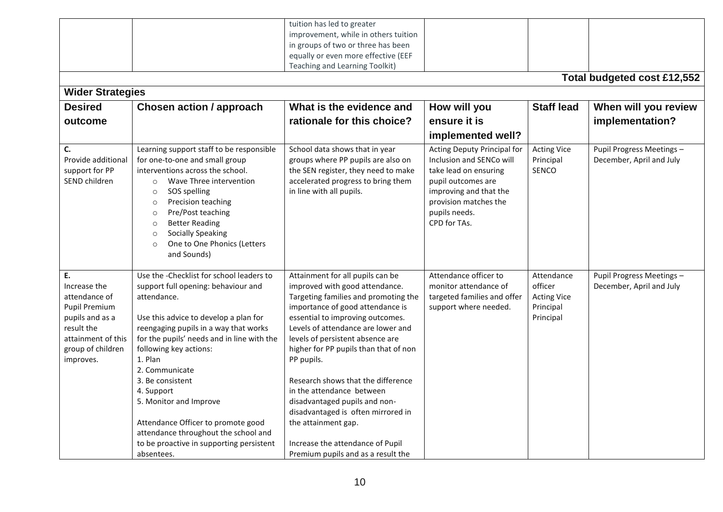| <b>Wider Strategies</b>                                                                                                                              |                                                                                                                                                                                                                                                                                                                                                                                                                                                                                           | tuition has led to greater<br>improvement, while in others tuition<br>in groups of two or three has been<br>equally or even more effective (EEF<br>Teaching and Learning Toolkit)                                                                                                                                                                                                                                                                                                                                                                              |                                                                                                                                                                                            |                                                                       | Total budgeted cost £12,552                           |
|------------------------------------------------------------------------------------------------------------------------------------------------------|-------------------------------------------------------------------------------------------------------------------------------------------------------------------------------------------------------------------------------------------------------------------------------------------------------------------------------------------------------------------------------------------------------------------------------------------------------------------------------------------|----------------------------------------------------------------------------------------------------------------------------------------------------------------------------------------------------------------------------------------------------------------------------------------------------------------------------------------------------------------------------------------------------------------------------------------------------------------------------------------------------------------------------------------------------------------|--------------------------------------------------------------------------------------------------------------------------------------------------------------------------------------------|-----------------------------------------------------------------------|-------------------------------------------------------|
| <b>Desired</b>                                                                                                                                       | <b>Chosen action / approach</b>                                                                                                                                                                                                                                                                                                                                                                                                                                                           | What is the evidence and                                                                                                                                                                                                                                                                                                                                                                                                                                                                                                                                       | How will you                                                                                                                                                                               | <b>Staff lead</b>                                                     | When will you review                                  |
| outcome                                                                                                                                              |                                                                                                                                                                                                                                                                                                                                                                                                                                                                                           | rationale for this choice?                                                                                                                                                                                                                                                                                                                                                                                                                                                                                                                                     | ensure it is                                                                                                                                                                               |                                                                       | implementation?                                       |
|                                                                                                                                                      |                                                                                                                                                                                                                                                                                                                                                                                                                                                                                           |                                                                                                                                                                                                                                                                                                                                                                                                                                                                                                                                                                | implemented well?                                                                                                                                                                          |                                                                       |                                                       |
| C.<br>Provide additional<br>support for PP<br>SEND children                                                                                          | Learning support staff to be responsible<br>for one-to-one and small group<br>interventions across the school.<br>Wave Three intervention<br>$\circ$<br>SOS spelling<br>$\circ$<br>Precision teaching<br>$\circ$<br>Pre/Post teaching<br>$\circ$<br><b>Better Reading</b><br>$\circ$<br><b>Socially Speaking</b><br>$\circ$<br>One to One Phonics (Letters<br>$\circ$<br>and Sounds)                                                                                                      | School data shows that in year<br>groups where PP pupils are also on<br>the SEN register, they need to make<br>accelerated progress to bring them<br>in line with all pupils.                                                                                                                                                                                                                                                                                                                                                                                  | Acting Deputy Principal for<br>Inclusion and SENCo will<br>take lead on ensuring<br>pupil outcomes are<br>improving and that the<br>provision matches the<br>pupils needs.<br>CPD for TAs. | <b>Acting Vice</b><br>Principal<br>SENCO                              | Pupil Progress Meetings -<br>December, April and July |
| Ε.<br>Increase the<br>attendance of<br><b>Pupil Premium</b><br>pupils and as a<br>result the<br>attainment of this<br>group of children<br>improves. | Use the -Checklist for school leaders to<br>support full opening: behaviour and<br>attendance.<br>Use this advice to develop a plan for<br>reengaging pupils in a way that works<br>for the pupils' needs and in line with the<br>following key actions:<br>1. Plan<br>2. Communicate<br>3. Be consistent<br>4. Support<br>5. Monitor and Improve<br>Attendance Officer to promote good<br>attendance throughout the school and<br>to be proactive in supporting persistent<br>absentees. | Attainment for all pupils can be<br>improved with good attendance.<br>Targeting families and promoting the<br>importance of good attendance is<br>essential to improving outcomes.<br>Levels of attendance are lower and<br>levels of persistent absence are<br>higher for PP pupils than that of non<br>PP pupils.<br>Research shows that the difference<br>in the attendance between<br>disadvantaged pupils and non-<br>disadvantaged is often mirrored in<br>the attainment gap.<br>Increase the attendance of Pupil<br>Premium pupils and as a result the | Attendance officer to<br>monitor attendance of<br>targeted families and offer<br>support where needed.                                                                                     | Attendance<br>officer<br><b>Acting Vice</b><br>Principal<br>Principal | Pupil Progress Meetings -<br>December, April and July |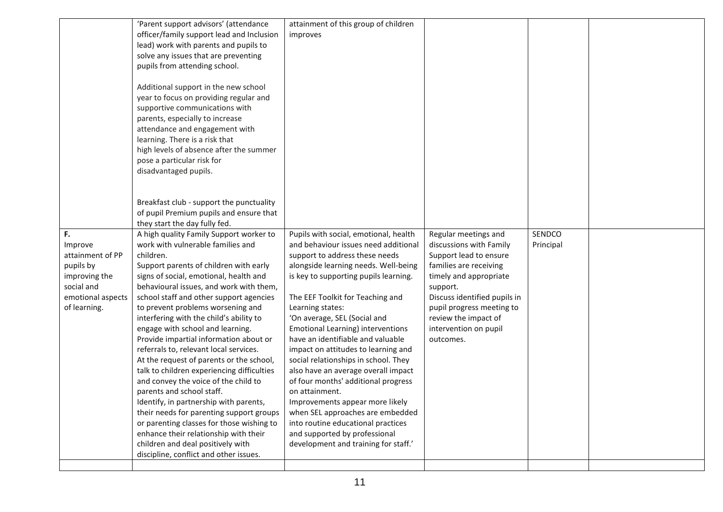|                   | 'Parent support advisors' (attendance      | attainment of this group of children  |                              |           |  |
|-------------------|--------------------------------------------|---------------------------------------|------------------------------|-----------|--|
|                   | officer/family support lead and Inclusion  | improves                              |                              |           |  |
|                   | lead) work with parents and pupils to      |                                       |                              |           |  |
|                   | solve any issues that are preventing       |                                       |                              |           |  |
|                   | pupils from attending school.              |                                       |                              |           |  |
|                   |                                            |                                       |                              |           |  |
|                   | Additional support in the new school       |                                       |                              |           |  |
|                   | year to focus on providing regular and     |                                       |                              |           |  |
|                   | supportive communications with             |                                       |                              |           |  |
|                   | parents, especially to increase            |                                       |                              |           |  |
|                   | attendance and engagement with             |                                       |                              |           |  |
|                   | learning. There is a risk that             |                                       |                              |           |  |
|                   | high levels of absence after the summer    |                                       |                              |           |  |
|                   | pose a particular risk for                 |                                       |                              |           |  |
|                   | disadvantaged pupils.                      |                                       |                              |           |  |
|                   |                                            |                                       |                              |           |  |
|                   |                                            |                                       |                              |           |  |
|                   | Breakfast club - support the punctuality   |                                       |                              |           |  |
|                   | of pupil Premium pupils and ensure that    |                                       |                              |           |  |
|                   | they start the day fully fed.              |                                       |                              |           |  |
| F.                | A high quality Family Support worker to    | Pupils with social, emotional, health | Regular meetings and         | SENDCO    |  |
| Improve           | work with vulnerable families and          | and behaviour issues need additional  | discussions with Family      | Principal |  |
| attainment of PP  | children.                                  | support to address these needs        | Support lead to ensure       |           |  |
| pupils by         | Support parents of children with early     | alongside learning needs. Well-being  | families are receiving       |           |  |
| improving the     | signs of social, emotional, health and     | is key to supporting pupils learning. | timely and appropriate       |           |  |
| social and        | behavioural issues, and work with them,    |                                       | support.                     |           |  |
| emotional aspects | school staff and other support agencies    | The EEF Toolkit for Teaching and      | Discuss identified pupils in |           |  |
| of learning.      | to prevent problems worsening and          | Learning states:                      | pupil progress meeting to    |           |  |
|                   | interfering with the child's ability to    | 'On average, SEL (Social and          | review the impact of         |           |  |
|                   | engage with school and learning.           | Emotional Learning) interventions     | intervention on pupil        |           |  |
|                   | Provide impartial information about or     | have an identifiable and valuable     | outcomes.                    |           |  |
|                   | referrals to, relevant local services.     | impact on attitudes to learning and   |                              |           |  |
|                   | At the request of parents or the school,   | social relationships in school. They  |                              |           |  |
|                   | talk to children experiencing difficulties | also have an average overall impact   |                              |           |  |
|                   | and convey the voice of the child to       | of four months' additional progress   |                              |           |  |
|                   | parents and school staff.                  | on attainment.                        |                              |           |  |
|                   | Identify, in partnership with parents,     | Improvements appear more likely       |                              |           |  |
|                   | their needs for parenting support groups   | when SEL approaches are embedded      |                              |           |  |
|                   | or parenting classes for those wishing to  | into routine educational practices    |                              |           |  |
|                   | enhance their relationship with their      | and supported by professional         |                              |           |  |
|                   | children and deal positively with          | development and training for staff.'  |                              |           |  |
|                   | discipline, conflict and other issues.     |                                       |                              |           |  |
|                   |                                            |                                       |                              |           |  |
|                   |                                            |                                       |                              |           |  |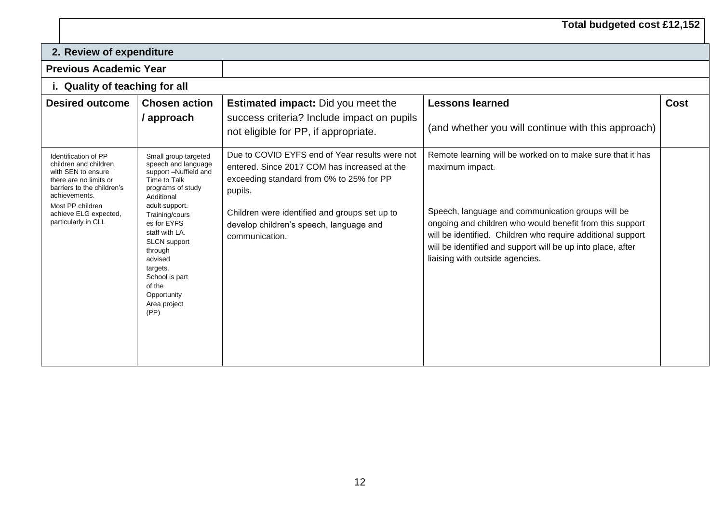## **Total budgeted cost £12,152**

| 2. Review of expenditure                                                                                                                                                                                         |                                                                                                                                                                                                                                                                                                                          |                                                                                                                                                                                                                                                                     |                                                                                                                                                                                                                                                                                                                                                                 |             |  |
|------------------------------------------------------------------------------------------------------------------------------------------------------------------------------------------------------------------|--------------------------------------------------------------------------------------------------------------------------------------------------------------------------------------------------------------------------------------------------------------------------------------------------------------------------|---------------------------------------------------------------------------------------------------------------------------------------------------------------------------------------------------------------------------------------------------------------------|-----------------------------------------------------------------------------------------------------------------------------------------------------------------------------------------------------------------------------------------------------------------------------------------------------------------------------------------------------------------|-------------|--|
| <b>Previous Academic Year</b>                                                                                                                                                                                    |                                                                                                                                                                                                                                                                                                                          |                                                                                                                                                                                                                                                                     |                                                                                                                                                                                                                                                                                                                                                                 |             |  |
|                                                                                                                                                                                                                  | i. Quality of teaching for all                                                                                                                                                                                                                                                                                           |                                                                                                                                                                                                                                                                     |                                                                                                                                                                                                                                                                                                                                                                 |             |  |
| <b>Desired outcome</b>                                                                                                                                                                                           | <b>Chosen action</b><br>/ approach                                                                                                                                                                                                                                                                                       | <b>Estimated impact:</b> Did you meet the<br>success criteria? Include impact on pupils<br>not eligible for PP, if appropriate.                                                                                                                                     | <b>Lessons learned</b><br>(and whether you will continue with this approach)                                                                                                                                                                                                                                                                                    | <b>Cost</b> |  |
| Identification of PP<br>children and children<br>with SEN to ensure<br>there are no limits or<br>barriers to the children's<br>achievements.<br>Most PP children<br>achieve ELG expected,<br>particularly in CLL | Small group targeted<br>speech and language<br>support -Nuffield and<br>Time to Talk<br>programs of study<br>Additional<br>adult support.<br>Training/cours<br>es for EYFS<br>staff with LA.<br><b>SLCN</b> support<br>through<br>advised<br>targets.<br>School is part<br>of the<br>Opportunity<br>Area project<br>(PP) | Due to COVID EYFS end of Year results were not<br>entered. Since 2017 COM has increased at the<br>exceeding standard from 0% to 25% for PP<br>pupils.<br>Children were identified and groups set up to<br>develop children's speech, language and<br>communication. | Remote learning will be worked on to make sure that it has<br>maximum impact.<br>Speech, language and communication groups will be<br>ongoing and children who would benefit from this support<br>will be identified. Children who require additional support<br>will be identified and support will be up into place, after<br>liaising with outside agencies. |             |  |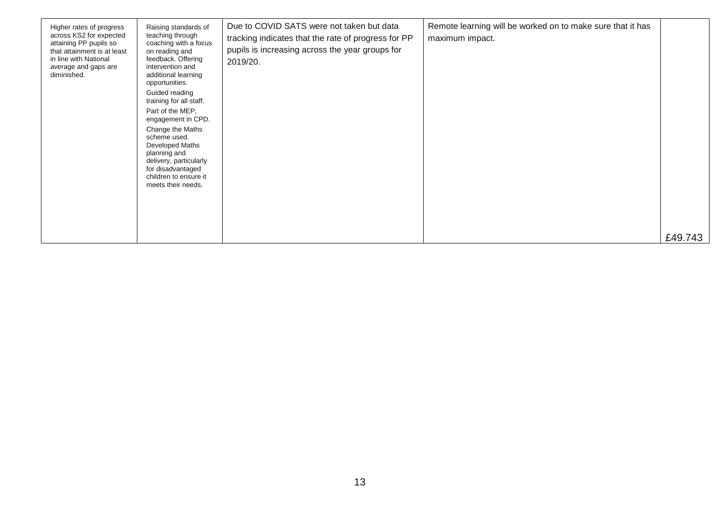| Higher rates of progress<br>across KS2 for expected<br>attaining PP pupils so<br>that attainment is at least<br>in line with National<br>average and gaps are<br>diminished. | Raising standards of<br>teaching through<br>coaching with a focus<br>on reading and<br>feedback. Offering<br>intervention and<br>additional learning<br>opportunities.<br>Guided reading<br>training for all staff.<br>Part of the MEP,<br>engagement in CPD.<br>Change the Maths<br>scheme used.<br>Developed Maths<br>planning and<br>delivery, particularly<br>for disadvantaged<br>children to ensure it<br>meets their needs. | Due to COVID SATS were not taken but data<br>tracking indicates that the rate of progress for PP<br>pupils is increasing across the year groups for<br>2019/20. | Remote learning will be worked on to make sure that it has<br>maximum impact. | £49.743 |
|------------------------------------------------------------------------------------------------------------------------------------------------------------------------------|------------------------------------------------------------------------------------------------------------------------------------------------------------------------------------------------------------------------------------------------------------------------------------------------------------------------------------------------------------------------------------------------------------------------------------|-----------------------------------------------------------------------------------------------------------------------------------------------------------------|-------------------------------------------------------------------------------|---------|
|                                                                                                                                                                              |                                                                                                                                                                                                                                                                                                                                                                                                                                    |                                                                                                                                                                 |                                                                               |         |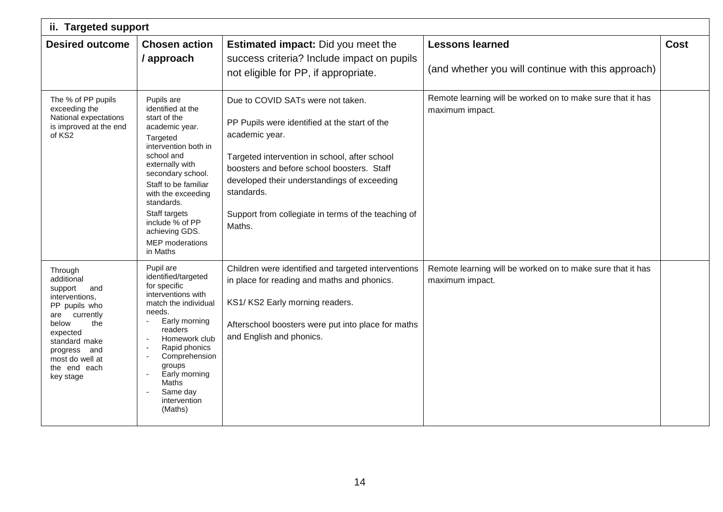| ii. Targeted support                                                                                                                                                                                        |                                                                                                                                                                                                                                                                                                                     |                                                                                                                                                                                                                                                                                                                                   |                                                                               |             |  |
|-------------------------------------------------------------------------------------------------------------------------------------------------------------------------------------------------------------|---------------------------------------------------------------------------------------------------------------------------------------------------------------------------------------------------------------------------------------------------------------------------------------------------------------------|-----------------------------------------------------------------------------------------------------------------------------------------------------------------------------------------------------------------------------------------------------------------------------------------------------------------------------------|-------------------------------------------------------------------------------|-------------|--|
| <b>Desired outcome</b>                                                                                                                                                                                      | <b>Chosen action</b>                                                                                                                                                                                                                                                                                                | <b>Estimated impact:</b> Did you meet the                                                                                                                                                                                                                                                                                         | <b>Lessons learned</b>                                                        | <b>Cost</b> |  |
|                                                                                                                                                                                                             | / approach                                                                                                                                                                                                                                                                                                          | success criteria? Include impact on pupils<br>not eligible for PP, if appropriate.                                                                                                                                                                                                                                                | (and whether you will continue with this approach)                            |             |  |
| The % of PP pupils<br>exceeding the<br>National expectations<br>is improved at the end<br>of KS2                                                                                                            | Pupils are<br>identified at the<br>start of the<br>academic year.<br>Targeted<br>intervention both in<br>school and<br>externally with<br>secondary school.<br>Staff to be familiar<br>with the exceeding<br>standards.<br>Staff targets<br>include % of PP<br>achieving GDS.<br><b>MEP</b> moderations<br>in Maths | Due to COVID SATs were not taken.<br>PP Pupils were identified at the start of the<br>academic year.<br>Targeted intervention in school, after school<br>boosters and before school boosters. Staff<br>developed their understandings of exceeding<br>standards.<br>Support from collegiate in terms of the teaching of<br>Maths. | Remote learning will be worked on to make sure that it has<br>maximum impact. |             |  |
| Through<br>additional<br>support<br>and<br>interventions,<br>PP pupils who<br>currently<br>are<br>below<br>the<br>expected<br>standard make<br>progress and<br>most do well at<br>the end each<br>key stage | Pupil are<br>identified/targeted<br>for specific<br>interventions with<br>match the individual<br>needs.<br>Early morning<br>$\sim$<br>readers<br>Homework club<br>Rapid phonics<br>Comprehension<br>groups<br>Early morning<br>Maths<br>Same day<br>intervention<br>(Maths)                                        | Children were identified and targeted interventions<br>in place for reading and maths and phonics.<br>KS1/KS2 Early morning readers.<br>Afterschool boosters were put into place for maths<br>and English and phonics.                                                                                                            | Remote learning will be worked on to make sure that it has<br>maximum impact. |             |  |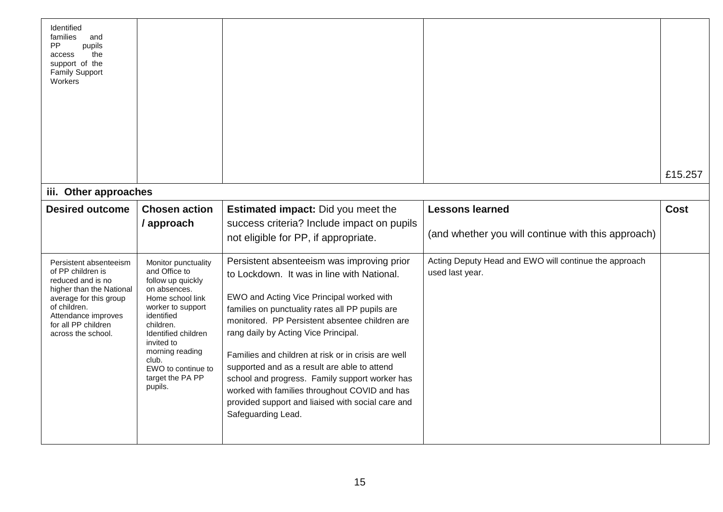| Identified<br>families<br>and<br>PP<br>pupils<br>the<br>access<br>support of the<br><b>Family Support</b><br>Workers                                                                                       |                                                                                                                                                                                                                                                                     |                                                                                                                                                                                                                                                                                                                                                                                                                                                                                                                                                                         |                                                                          |             |
|------------------------------------------------------------------------------------------------------------------------------------------------------------------------------------------------------------|---------------------------------------------------------------------------------------------------------------------------------------------------------------------------------------------------------------------------------------------------------------------|-------------------------------------------------------------------------------------------------------------------------------------------------------------------------------------------------------------------------------------------------------------------------------------------------------------------------------------------------------------------------------------------------------------------------------------------------------------------------------------------------------------------------------------------------------------------------|--------------------------------------------------------------------------|-------------|
|                                                                                                                                                                                                            |                                                                                                                                                                                                                                                                     |                                                                                                                                                                                                                                                                                                                                                                                                                                                                                                                                                                         |                                                                          | £15.257     |
| iii. Other approaches                                                                                                                                                                                      |                                                                                                                                                                                                                                                                     |                                                                                                                                                                                                                                                                                                                                                                                                                                                                                                                                                                         |                                                                          |             |
| <b>Desired outcome</b>                                                                                                                                                                                     | <b>Chosen action</b>                                                                                                                                                                                                                                                | <b>Estimated impact:</b> Did you meet the                                                                                                                                                                                                                                                                                                                                                                                                                                                                                                                               | <b>Lessons learned</b>                                                   | <b>Cost</b> |
|                                                                                                                                                                                                            | / approach                                                                                                                                                                                                                                                          | success criteria? Include impact on pupils<br>not eligible for PP, if appropriate.                                                                                                                                                                                                                                                                                                                                                                                                                                                                                      | (and whether you will continue with this approach)                       |             |
| Persistent absenteeism<br>of PP children is<br>reduced and is no<br>higher than the National<br>average for this group<br>of children.<br>Attendance improves<br>for all PP children<br>across the school. | Monitor punctuality<br>and Office to<br>follow up quickly<br>on absences.<br>Home school link<br>worker to support<br>identified<br>children.<br>Identified children<br>invited to<br>morning reading<br>club.<br>EWO to continue to<br>target the PA PP<br>pupils. | Persistent absenteeism was improving prior<br>to Lockdown. It was in line with National.<br>EWO and Acting Vice Principal worked with<br>families on punctuality rates all PP pupils are<br>monitored. PP Persistent absentee children are<br>rang daily by Acting Vice Principal.<br>Families and children at risk or in crisis are well<br>supported and as a result are able to attend<br>school and progress. Family support worker has<br>worked with families throughout COVID and has<br>provided support and liaised with social care and<br>Safeguarding Lead. | Acting Deputy Head and EWO will continue the approach<br>used last year. |             |